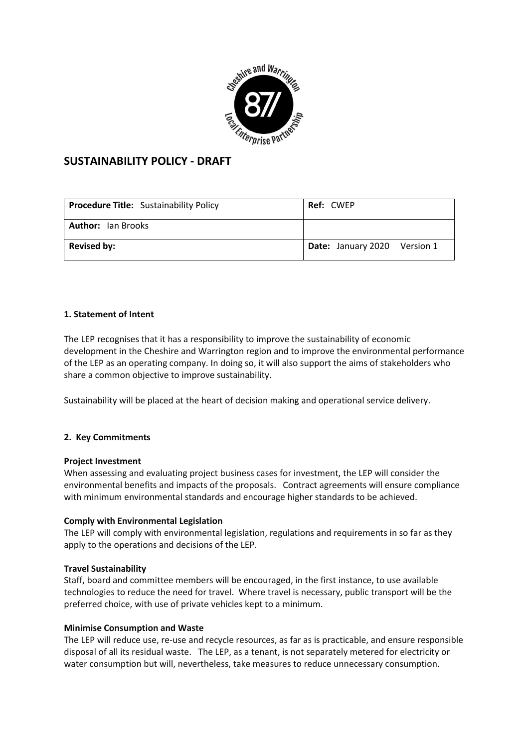

# **SUSTAINABILITY POLICY - DRAFT**

| <b>Procedure Title:</b> Sustainability Policy | <b>Ref: CWEP</b>                    |
|-----------------------------------------------|-------------------------------------|
| <b>Author:</b> Ian Brooks                     |                                     |
| <b>Revised by:</b>                            | <b>Date:</b> January 2020 Version 1 |

## **1. Statement of Intent**

The LEP recognises that it has a responsibility to improve the sustainability of economic development in the Cheshire and Warrington region and to improve the environmental performance of the LEP as an operating company. In doing so, it will also support the aims of stakeholders who share a common objective to improve sustainability.

Sustainability will be placed at the heart of decision making and operational service delivery.

### **2. Key Commitments**

### **Project Investment**

When assessing and evaluating project business cases for investment, the LEP will consider the environmental benefits and impacts of the proposals. Contract agreements will ensure compliance with minimum environmental standards and encourage higher standards to be achieved.

### **Comply with Environmental Legislation**

The LEP will comply with environmental legislation, regulations and requirements in so far as they apply to the operations and decisions of the LEP.

### **Travel Sustainability**

Staff, board and committee members will be encouraged, in the first instance, to use available technologies to reduce the need for travel. Where travel is necessary, public transport will be the preferred choice, with use of private vehicles kept to a minimum.

### **Minimise Consumption and Waste**

The LEP will reduce use, re-use and recycle resources, as far as is practicable, and ensure responsible disposal of all its residual waste. The LEP, as a tenant, is not separately metered for electricity or water consumption but will, nevertheless, take measures to reduce unnecessary consumption.